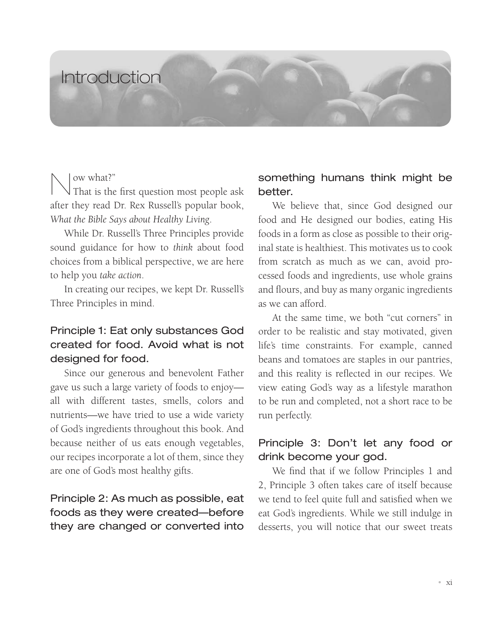# Introduction

Now what?" That is the first question most people ask after they read Dr. Rex Russell's popular book, *What the Bible Says about Healthy Living*.

While Dr. Russell's Three Principles provide sound guidance for how to *think* about food choices from a biblical perspective, we are here to help you *take action*.

In creating our recipes, we kept Dr. Russell's Three Principles in mind.

### Principle 1: Eat only substances God created for food. Avoid what is not designed for food.

Since our generous and benevolent Father gave us such a large variety of foods to enjoy all with different tastes, smells, colors and nutrients—we have tried to use a wide variety of God's ingredients throughout this book. And because neither of us eats enough vegetables, our recipes incorporate a lot of them, since they are one of God's most healthy gifts.

## Principle 2: As much as possible, eat foods as they were created—before they are changed or converted into

#### something humans think might be better.

We believe that, since God designed our food and He designed our bodies, eating His foods in a form as close as possible to their original state is healthiest. This motivates us to cook from scratch as much as we can, avoid processed foods and ingredients, use whole grains and flours, and buy as many organic ingredients as we can afford.

At the same time, we both "cut corners" in order to be realistic and stay motivated, given life's time constraints. For example, canned beans and tomatoes are staples in our pantries, and this reality is reflected in our recipes. We view eating God's way as a lifestyle marathon to be run and completed, not a short race to be run perfectly.

### Principle 3: Don't let any food or drink become your god.

We find that if we follow Principles 1 and 2, Principle 3 often takes care of itself because we tend to feel quite full and satisfied when we eat God's ingredients. While we still indulge in desserts, you will notice that our sweet treats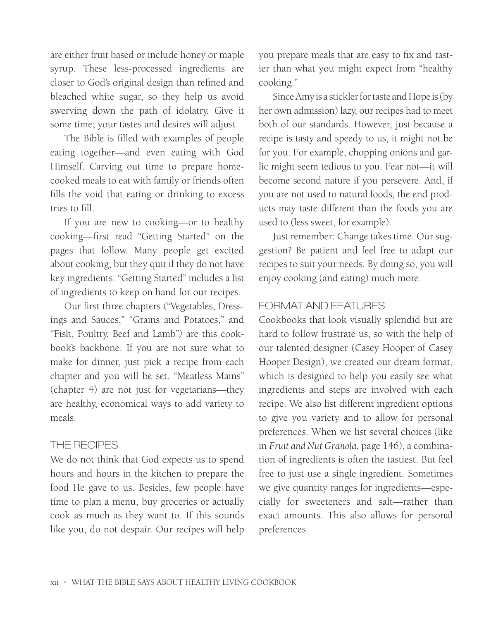are either fruit based or include honey or maple syrup. These less-processed ingredients are closer to God's original design than refined and bleached white sugar, so they help us avoid swerving down the path of idolatry. Give it some time; your tastes and desires will adjust.

The Bible is filled with examples of people eating together—and even eating with God Himself. Carving out time to prepare homecooked meals to eat with family or friends often fills the void that eating or drinking to excess tries to fill.

If you are new to cooking—or to healthy cooking—first read "Getting Started" on the pages that follow. Many people get excited about cooking, but they quit if they do not have key ingredients. "Getting Started" includes a list of ingredients to keep on hand for our recipes.

Our first three chapters ("Vegetables, Dressings and Sauces," "Grains and Potatoes," and "Fish, Poultry, Beef and Lamb"*)* are this cookbook's backbone. If you are not sure what to make for dinner, just pick a recipe from each chapter and you will be set. "Meatless Mains" (chapter 4) are not just for vegetarians—they are healthy, economical ways to add variety to meals.

#### THE RECIPES

We do not think that God expects us to spend hours and hours in the kitchen to prepare the food He gave to us. Besides, few people have time to plan a menu, buy groceries or actually cook as much as they want to. If this sounds like you, do not despair. Our recipes will help you prepare meals that are easy to fix and tastier than what you might expect from "healthy cooking."

Since Amy is a stickler for taste and Hope is (by her own admission) lazy, our recipes had to meet both of our standards. However, just because a recipe is tasty and speedy to us, it might not be for you. For example, chopping onions and garlic might seem tedious to you. Fear not—it will become second nature if you persevere. And, if you are not used to natural foods, the end products may taste different than the foods you are used to (less sweet, for example).

Just remember: Change takes time. Our suggestion? Be patient and feel free to adapt our recipes to suit your needs. By doing so, you will enjoy cooking (and eating) much more.

#### FORMAT AND FEATURES

Cookbooks that look visually splendid but are hard to follow frustrate us, so with the help of our talented designer (Casey Hooper of Casey Hooper Design), we created our dream format, which is designed to help you easily see what ingredients and steps are involved with each recipe. We also list different ingredient options to give you variety and to allow for personal preferences. When we list several choices (like in *Fruit and Nut Granola,* page 146), a combination of ingredients is often the tastiest. But feel free to just use a single ingredient. Sometimes we give quantity ranges for ingredients—especially for sweeteners and salt—rather than exact amounts. This also allows for personal preferences.